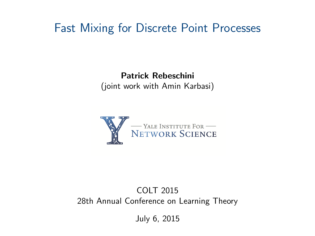## Fast Mixing for Discrete Point Processes

#### Patrick Rebeschini (joint work with Amin Karbasi)



#### COLT 2015 28th Annual Conference on Learning Theory

July 6, 2015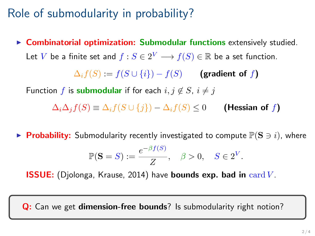# Role of submodularity in probability?

 $\triangleright$  Combinatorial optimization: Submodular functions extensively studied. Let  $V$  be a finite set and  $f:S\in 2^V\longrightarrow f(S)\in \mathbb{R}$  be a set function.

 $\Delta_i f(S) := f(S \cup \{i\}) - f(S)$  (gradient of f)

Function f is submodular if for each  $i, j \notin S$ ,  $i \neq j$ 

 $\Delta_i\Delta_j f(S) \equiv \Delta_i f(S \cup \{j\}) - \Delta_i f(S) \leq 0$  (Hessian of f)

**Probability:** Submodularity recently investigated to compute  $\mathbb{P}(S \ni i)$ , where

$$
\mathbb{P}(\mathbf{S}=S) := \frac{e^{-\beta f(S)}}{Z}, \quad \beta > 0, \quad S \in 2^V.
$$

ISSUE: (Djolonga, Krause, 2014) have bounds exp. bad in card V .

Q: Can we get dimension-free bounds? Is submodularity right notion?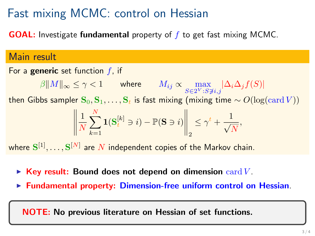# Fast mixing MCMC: control on Hessian

**GOAL:** Investigate **fundamental** property of  $f$  to get fast mixing MCMC.

#### Main result

For a generic set function  $f$ , if  $\beta \|M\|_{\infty} \leq \gamma < 1$  where  $M_{ij} \propto \max_{S \in 2^V : S \not\ni i,j} |\Delta_i \Delta_j f(S)|$ then Gibbs sampler  $S_0, S_1, \ldots, S_t$  is fast mixing (mixing time  $\sim O(\log(\text{card }V))$ ) 1 N  $\sum_{i=1}^{N}$  $k=1$  $\mathbf{1}(\mathbf{S}^{[k]}_t \ni i) - \mathbb{P}(\mathbf{S} \ni i)$  $\bigg\|_2$  $\leq \gamma^t + \frac{1}{\sqrt{2}}$ N , where  $\mathbf{S}^{[1]},\ldots,\mathbf{S}^{[N]}$  are  $N$  independent copies of the Markov chain.

- $\triangleright$  Key result: Bound does not depend on dimension card V.
- $\triangleright$  Fundamental property: Dimension-free uniform control on Hessian.

NOTE: No previous literature on Hessian of set functions.